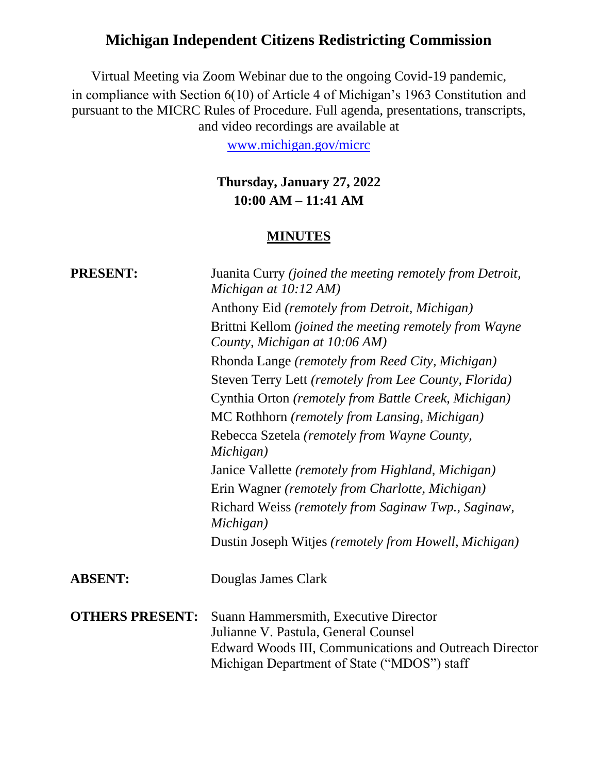# **Michigan Independent Citizens Redistricting Commission**

Virtual Meeting via Zoom Webinar due to the ongoing Covid-19 pandemic, in compliance with Section 6(10) of Article 4 of Michigan's 1963 Constitution and pursuant to the MICRC Rules of Procedure. Full agenda, presentations, transcripts, and video recordings are available at

[www.michigan.gov/micrc](http://www.michigan.gov/micrc)

## **Thursday, January 27, 2022 10:00 AM – 11:41 AM**

### **MINUTES**

| <b>PRESENT:</b>        | Juanita Curry (joined the meeting remotely from Detroit,<br>Michigan at 10:12 AM)                                                                                                      |
|------------------------|----------------------------------------------------------------------------------------------------------------------------------------------------------------------------------------|
|                        | Anthony Eid (remotely from Detroit, Michigan)                                                                                                                                          |
|                        | Brittni Kellom (joined the meeting remotely from Wayne<br>County, Michigan at 10:06 AM)                                                                                                |
|                        | Rhonda Lange (remotely from Reed City, Michigan)                                                                                                                                       |
|                        | Steven Terry Lett (remotely from Lee County, Florida)                                                                                                                                  |
|                        | Cynthia Orton (remotely from Battle Creek, Michigan)                                                                                                                                   |
|                        | MC Rothhorn (remotely from Lansing, Michigan)                                                                                                                                          |
|                        | Rebecca Szetela (remotely from Wayne County,<br>Michigan)                                                                                                                              |
|                        | Janice Vallette (remotely from Highland, Michigan)                                                                                                                                     |
|                        | Erin Wagner (remotely from Charlotte, Michigan)                                                                                                                                        |
|                        | Richard Weiss (remotely from Saginaw Twp., Saginaw,<br>Michigan)                                                                                                                       |
|                        | Dustin Joseph Witjes (remotely from Howell, Michigan)                                                                                                                                  |
| <b>ABSENT:</b>         | Douglas James Clark                                                                                                                                                                    |
| <b>OTHERS PRESENT:</b> | Suann Hammersmith, Executive Director<br>Julianne V. Pastula, General Counsel<br>Edward Woods III, Communications and Outreach Director<br>Michigan Department of State ("MDOS") staff |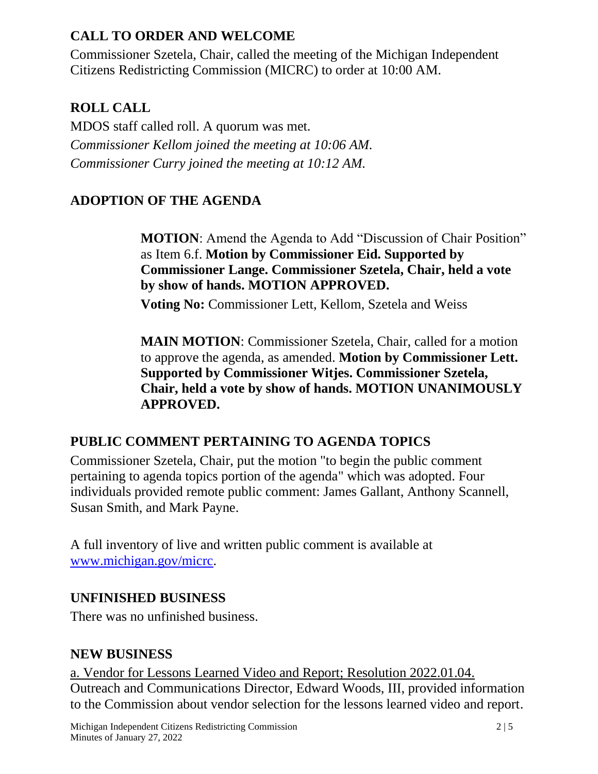## **CALL TO ORDER AND WELCOME**

Commissioner Szetela, Chair, called the meeting of the Michigan Independent Citizens Redistricting Commission (MICRC) to order at 10:00 AM.

## **ROLL CALL**

MDOS staff called roll. A quorum was met. *Commissioner Kellom joined the meeting at 10:06 AM. Commissioner Curry joined the meeting at 10:12 AM.*

## **ADOPTION OF THE AGENDA**

**MOTION**: Amend the Agenda to Add "Discussion of Chair Position" as Item 6.f. **Motion by Commissioner Eid. Supported by Commissioner Lange. Commissioner Szetela, Chair, held a vote by show of hands. MOTION APPROVED.**

**Voting No:** Commissioner Lett, Kellom, Szetela and Weiss

**MAIN MOTION**: Commissioner Szetela, Chair, called for a motion to approve the agenda, as amended. **Motion by Commissioner Lett. Supported by Commissioner Witjes. Commissioner Szetela, Chair, held a vote by show of hands. MOTION UNANIMOUSLY APPROVED.**

## **PUBLIC COMMENT PERTAINING TO AGENDA TOPICS**

Commissioner Szetela, Chair, put the motion "to begin the public comment pertaining to agenda topics portion of the agenda" which was adopted. Four individuals provided remote public comment: James Gallant, Anthony Scannell, Susan Smith, and Mark Payne.

A full inventory of live and written public comment is available at [www.michigan.gov/micrc.](http://www.michigan.gov/micrc)

## **UNFINISHED BUSINESS**

There was no unfinished business.

### **NEW BUSINESS**

a. Vendor for Lessons Learned Video and Report; Resolution 2022.01.04. Outreach and Communications Director, Edward Woods, III, provided information to the Commission about vendor selection for the lessons learned video and report.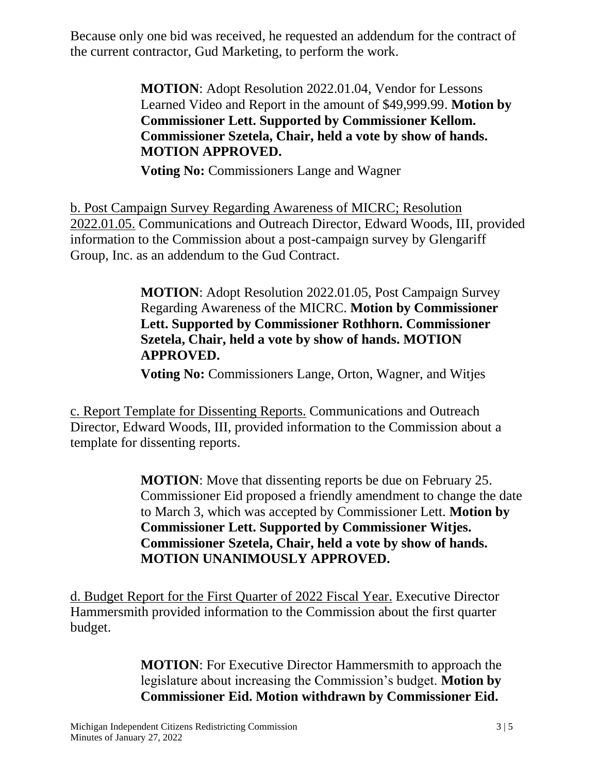Because only one bid was received, he requested an addendum for the contract of the current contractor, Gud Marketing, to perform the work.

> **MOTION**: Adopt Resolution 2022.01.04, Vendor for Lessons Learned Video and Report in the amount of \$49,999.99. **Motion by Commissioner Lett. Supported by Commissioner Kellom. Commissioner Szetela, Chair, held a vote by show of hands. MOTION APPROVED.**

**Voting No:** Commissioners Lange and Wagner

b. Post Campaign Survey Regarding Awareness of MICRC; Resolution 2022.01.05. Communications and Outreach Director, Edward Woods, III, provided information to the Commission about a post-campaign survey by Glengariff Group, Inc. as an addendum to the Gud Contract.

> **MOTION**: Adopt Resolution 2022.01.05, Post Campaign Survey Regarding Awareness of the MICRC. **Motion by Commissioner Lett. Supported by Commissioner Rothhorn. Commissioner Szetela, Chair, held a vote by show of hands. MOTION APPROVED.**

**Voting No:** Commissioners Lange, Orton, Wagner, and Witjes

c. Report Template for Dissenting Reports. Communications and Outreach Director, Edward Woods, III, provided information to the Commission about a template for dissenting reports.

> **MOTION**: Move that dissenting reports be due on February 25. Commissioner Eid proposed a friendly amendment to change the date to March 3, which was accepted by Commissioner Lett. **Motion by Commissioner Lett. Supported by Commissioner Witjes. Commissioner Szetela, Chair, held a vote by show of hands. MOTION UNANIMOUSLY APPROVED.**

d. Budget Report for the First Quarter of 2022 Fiscal Year. Executive Director Hammersmith provided information to the Commission about the first quarter budget.

> **MOTION**: For Executive Director Hammersmith to approach the legislature about increasing the Commission's budget. **Motion by Commissioner Eid. Motion withdrawn by Commissioner Eid.**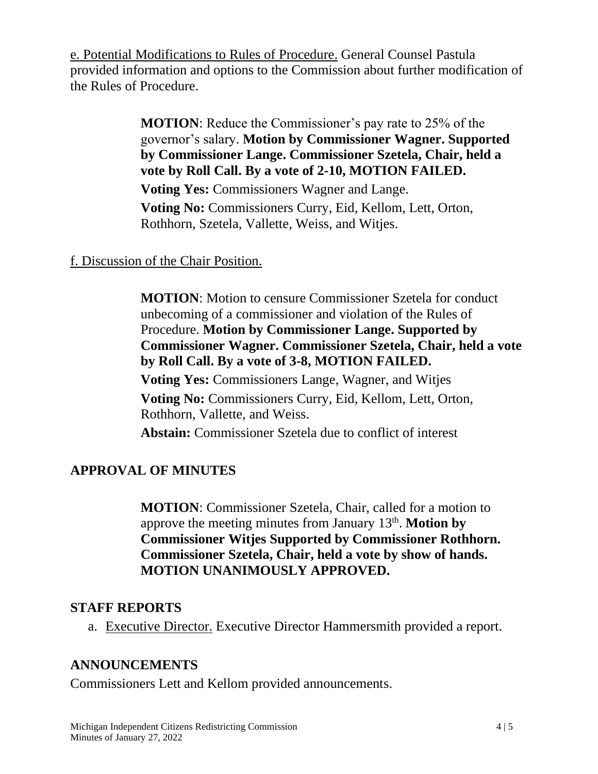e. Potential Modifications to Rules of Procedure. General Counsel Pastula provided information and options to the Commission about further modification of the Rules of Procedure.

> **MOTION**: Reduce the Commissioner's pay rate to 25% of the governor's salary. **Motion by Commissioner Wagner. Supported by Commissioner Lange. Commissioner Szetela, Chair, held a vote by Roll Call. By a vote of 2-10, MOTION FAILED. Voting Yes:** Commissioners Wagner and Lange.

**Voting No:** Commissioners Curry, Eid, Kellom, Lett, Orton, Rothhorn, Szetela, Vallette, Weiss, and Witjes.

### f. Discussion of the Chair Position.

**MOTION**: Motion to censure Commissioner Szetela for conduct unbecoming of a commissioner and violation of the Rules of Procedure. **Motion by Commissioner Lange. Supported by Commissioner Wagner. Commissioner Szetela, Chair, held a vote by Roll Call. By a vote of 3-8, MOTION FAILED.**

**Voting Yes:** Commissioners Lange, Wagner, and Witjes

**Voting No:** Commissioners Curry, Eid, Kellom, Lett, Orton, Rothhorn, Vallette, and Weiss.

**Abstain:** Commissioner Szetela due to conflict of interest

### **APPROVAL OF MINUTES**

**MOTION**: Commissioner Szetela, Chair, called for a motion to approve the meeting minutes from January 13<sup>th</sup>. Motion by **Commissioner Witjes Supported by Commissioner Rothhorn. Commissioner Szetela, Chair, held a vote by show of hands. MOTION UNANIMOUSLY APPROVED.**

### **STAFF REPORTS**

a. Executive Director. Executive Director Hammersmith provided a report.

## **ANNOUNCEMENTS**

Commissioners Lett and Kellom provided announcements.